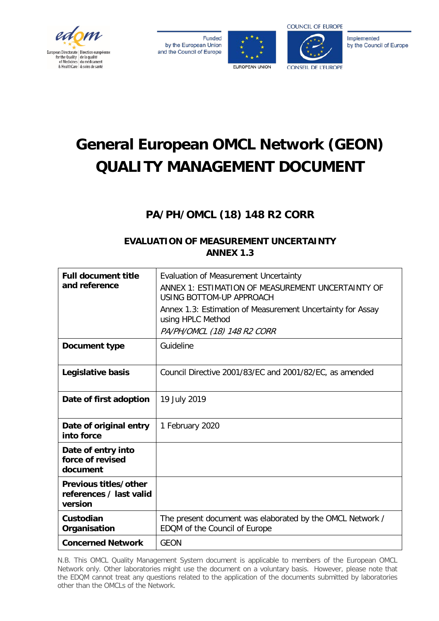

**Funded** by the European Union and the Council of Europe





Implemented by the Council of Europe

# **General European OMCL Network (GEON) QUALITY MANAGEMENT DOCUMENT**

## **PA/PH/OMCL (18) 148 R2 CORR**

## **EVALUATION OF MEASUREMENT UNCERTAINTY ANNEX 1.3**

| <b>Full document title</b><br>and reference                 | Evaluation of Measurement Uncertainty<br>ANNEX 1: ESTIMATION OF MEASUREMENT UNCERTAINTY OF<br>USING BOTTOM-UP APPROACH<br>Annex 1.3: Estimation of Measurement Uncertainty for Assay<br>using HPLC Method<br>PA/PH/OMCL (18) 148 R2 CORR |
|-------------------------------------------------------------|------------------------------------------------------------------------------------------------------------------------------------------------------------------------------------------------------------------------------------------|
| Document type                                               | Guideline                                                                                                                                                                                                                                |
| Legislative basis                                           | Council Directive 2001/83/EC and 2001/82/EC, as amended                                                                                                                                                                                  |
| Date of first adoption                                      | 19 July 2019                                                                                                                                                                                                                             |
| Date of original entry<br>into force                        | 1 February 2020                                                                                                                                                                                                                          |
| Date of entry into<br>force of revised<br>document          |                                                                                                                                                                                                                                          |
| Previous titles/other<br>references / last valid<br>version |                                                                                                                                                                                                                                          |
| Custodian<br>Organisation                                   | The present document was elaborated by the OMCL Network /<br>EDQM of the Council of Europe                                                                                                                                               |
| <b>Concerned Network</b>                                    | <b>GEON</b>                                                                                                                                                                                                                              |

N.B. This OMCL Quality Management System document is applicable to members of the European OMCL Network only. Other laboratories might use the document on a voluntary basis. However, please note that the EDQM cannot treat any questions related to the application of the documents submitted by laboratories other than the OMCLs of the Network.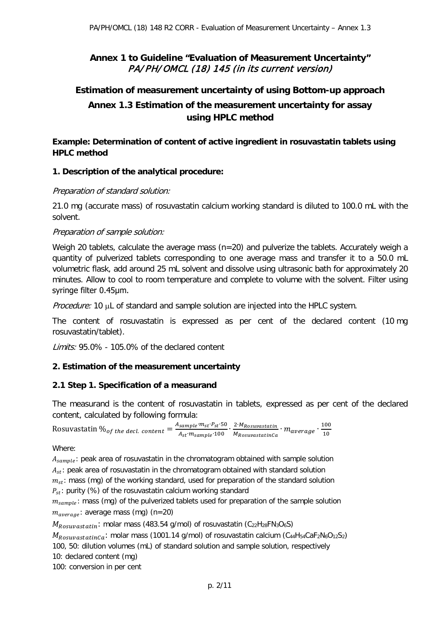## **Annex 1 to Guideline "Evaluation of Measurement Uncertainty"**  PA/PH/OMCL (18) 145 (in its current version)

## **Estimation of measurement uncertainty of using Bottom-up approach Annex 1.3 Estimation of the measurement uncertainty for assay using HPLC method**

**Example: Determination of content of active ingredient in rosuvastatin tablets using HPLC method**

## **1. Description of the analytical procedure:**

## Preparation of standard solution:

21.0 mg (accurate mass) of rosuvastatin calcium working standard is diluted to 100.0 mL with the solvent.

## Preparation of sample solution:

Weigh 20 tablets, calculate the average mass ( $n=20$ ) and pulverize the tablets. Accurately weigh a quantity of pulverized tablets corresponding to one average mass and transfer it to a 50.0 mL volumetric flask, add around 25 mL solvent and dissolve using ultrasonic bath for approximately 20 minutes. Allow to cool to room temperature and complete to volume with the solvent. Filter using syringe filter 0.45μm.

Procedure: 10 µL of standard and sample solution are injected into the HPLC system.

The content of rosuvastatin is expressed as per cent of the declared content (10 mg rosuvastatin/tablet).

Limits: 95.0% - 105.0% of the declared content

## **2. Estimation of the measurement uncertainty**

## **2.1 Step 1. Specification of a measurand**

The measurand is the content of rosuvastatin in tablets, expressed as per cent of the declared content, calculated by following formula:

Rosuvastatin  $\%_{of}$  the decl. content  $=\frac{A_{sample} \cdot m_{st} \cdot P_{st} \cdot 50}{A_{st} \cdot m_{sample} \cdot 100} \cdot \frac{2 \cdot M_{Rosuvastatin}}{M_{RosuvastatinCa}}$  $\frac{2 \cdot M_{Rosuvastatin}}{M_{RosuvastatinCa}} \cdot m_{average} \cdot \frac{100}{10}$ 10

Where:

 $A_{sample}$ : peak area of rosuvastatin in the chromatogram obtained with sample solution  $A_{st}$ : peak area of rosuvastatin in the chromatogram obtained with standard solution  $m_{\rm st}$ : mass (mg) of the working standard, used for preparation of the standard solution  $P_{st}$ : purity (%) of the rosuvastatin calcium working standard

 $m_{sample}$ : mass (mg) of the pulverized tablets used for preparation of the sample solution  $m_{average}$ : average mass (mg) (n=20)

 $M_{Rosuvastatin}$ : molar mass (483.54 g/mol) of rosuvastatin (C<sub>22</sub>H<sub>28</sub>FN<sub>3</sub>O<sub>6</sub>S)

 $M_{RosuvastatinCa}$ : molar mass (1001.14 g/mol) of rosuvastatin calcium (C<sub>44</sub>H<sub>54</sub>CaF<sub>2</sub>N<sub>6</sub>O<sub>12</sub>S<sub>2</sub>)

100, 50: dilution volumes (mL) of standard solution and sample solution, respectively

10: declared content (mg)

100: conversion in per cent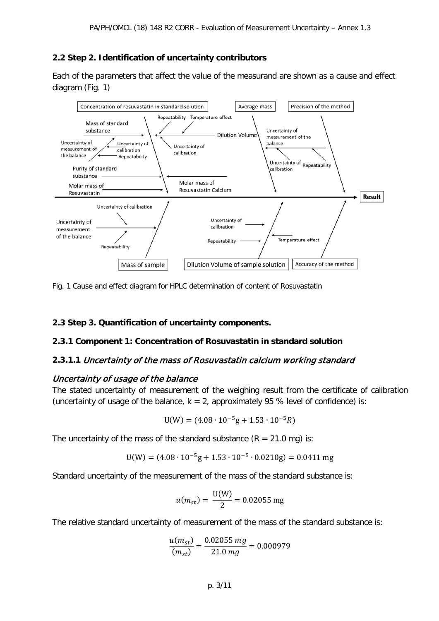## **2.2 Step 2. Identification of uncertainty contributors**

Each of the parameters that affect the value of the measurand are shown as a cause and effect diagram (Fig. 1)



Fig. 1 Cause and effect diagram for HPLC determination of content of Rosuvastatin

#### **2.3 Step 3. Quantification of uncertainty components.**

#### **2.3.1 Component 1: Concentration of Rosuvastatin in standard solution**

#### **2.3.1.1** Uncertainty of the mass of Rosuvastatin calcium working standard

#### Uncertainty of usage of the balance

The stated uncertainty of measurement of the weighing result from the certificate of calibration (uncertainty of usage of the balance,  $k = 2$ , approximately 95 % level of confidence) is:

$$
U(W) = (4.08 \cdot 10^{-5}g + 1.53 \cdot 10^{-5}R)
$$

The uncertainty of the mass of the standard substance  $(R = 21.0 \text{ mg})$  is:

$$
U(W) = (4.08 \cdot 10^{-5}g + 1.53 \cdot 10^{-5} \cdot 0.0210g) = 0.0411 mg
$$

Standard uncertainty of the measurement of the mass of the standard substance is:

$$
u(m_{st}) = \frac{U(W)}{2} = 0.02055 \text{ mg}
$$

The relative standard uncertainty of measurement of the mass of the standard substance is:

$$
\frac{u(m_{st})}{(m_{st})} = \frac{0.02055 mg}{21.0 mg} = 0.000979
$$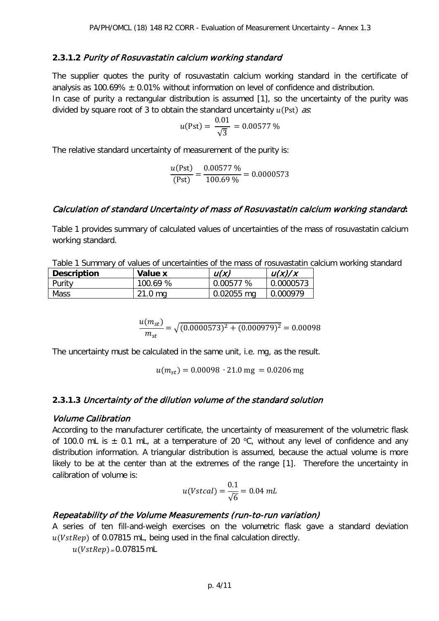## **2.3.1.2** Purity of Rosuvastatin calcium working standard

The supplier quotes the purity of rosuvastatin calcium working standard in the certificate of analysis as 100.69%  $\pm$  0.01% without information on level of confidence and distribution. In case of purity a rectangular distribution is assumed [1], so the uncertainty of the purity was divided by square root of 3 to obtain the standard uncertainty  $u(Pst)$  as:

$$
u(\text{Pst}) = \frac{0.01}{\sqrt{3}} = 0.00577\,\%
$$

The relative standard uncertainty of measurement of the purity is:

$$
\frac{u(\text{Pst})}{(\text{Pst})} = \frac{0.00577 \, \%}{100.69 \, \%} = 0.0000573
$$

## Calculation of standard Uncertainty of mass of Rosuvastatin calcium working standard**:**

Table 1 provides summary of calculated values of uncertainties of the mass of rosuvastatin calcium working standard.

Table 1 Summary of values of uncertainties of the mass of rosuvastatin calcium working standard

| <b>Description</b> | Value x   | u(x)       | u(x)/x    |
|--------------------|-----------|------------|-----------|
| Purity             | 100.69 %  | 0.00577%   | 0.0000573 |
| <b>Mass</b>        | $21.0$ mg | 0.02055 mg | 0.000979  |

$$
\frac{u(m_{st})}{m_{st}} = \sqrt{(0.0000573)^2 + (0.000979)^2} = 0.00098
$$

The uncertainty must be calculated in the same unit, i.e. mg, as the result.

 $u(m_{st}) = 0.00098 \cdot 21.0$  mg = 0.0206 mg

#### **2.3.1.3** Uncertainty of the dilution volume of the standard solution

#### Volume Calibration

According to the manufacturer certificate, the uncertainty of measurement of the volumetric flask of 100.0 mL is  $\pm$  0.1 mL, at a temperature of 20 °C, without any level of confidence and any distribution information. A triangular distribution is assumed, because the actual volume is more likely to be at the center than at the extremes of the range [1]. Therefore the uncertainty in calibration of volume is:

$$
u(Vstcal) = \frac{0.1}{\sqrt{6}} = 0.04 \, mL
$$

## Repeatability of the Volume Measurements (run-to-run variation)

A series of ten fill-and-weigh exercises on the volumetric flask gave a standard deviation  $u(VstRep)$  of 0.07815 mL, being used in the final calculation directly.

 $u ( VstRep) = 0.07815 \text{ mL}$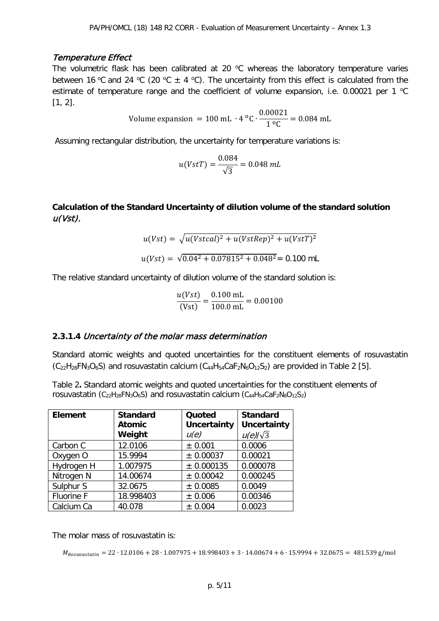## Temperature Effect

The volumetric flask has been calibrated at 20  $^{\circ}$ C whereas the laboratory temperature varies between 16 °C and 24 °C (20 °C  $\pm$  4 °C). The uncertainty from this effect is calculated from the estimate of temperature range and the coefficient of volume expansion, i.e. 0.00021 per 1  $^{\circ}$ C [1, 2].

Volume expansion = 100 mL · 4 °C · 
$$
\frac{0.00021}{1 °C} = 0.084 \text{ mL}
$$

Assuming rectangular distribution, the uncertainty for temperature variations is:

$$
u(VstT) = \frac{0.084}{\sqrt{3}} = 0.048 \, mL
$$

## **Calculation of the Standard Uncertainty of dilution volume of the standard solution**  u(Vst).

$$
u(Vst) = \sqrt{u(Vstcal)^{2} + u(VstRep)^{2} + u(VstT)^{2}}
$$

$$
u(Vst) = \sqrt{0.04^{2} + 0.07815^{2} + 0.048^{2}} = 0.100 \text{ mL}
$$

The relative standard uncertainty of dilution volume of the standard solution is:

$$
\frac{u(Vst)}{(Vst)} = \frac{0.100 \text{ mL}}{100.0 \text{ mL}} = 0.00100
$$

## **2.3.1.4** Uncertainty of the molar mass determination

Standard atomic weights and quoted uncertainties for the constituent elements of rosuvastatin  $(C_{22}H_{28}FN_{3}O_{6}S)$  and rosuvastatin calcium  $(C_{44}H_{54}CaF_{2}N_{6}O_{12}S_{2})$  are provided in Table 2 [5].

Table 2**.** Standard atomic weights and quoted uncertainties for the constituent elements of rosuvastatin (C<sub>22</sub>H<sub>28</sub>FN<sub>3</sub>O<sub>6</sub>S) and rosuvastatin calcium (C<sub>44</sub>H<sub>54</sub>CaF<sub>2</sub>N<sub>6</sub>O<sub>12</sub>S<sub>2</sub>)

| <b>Element</b>       | <b>Standard</b> | Quoted             | <b>Standard</b>    |
|----------------------|-----------------|--------------------|--------------------|
|                      | <b>Atomic</b>   | <b>Uncertainty</b> | <b>Uncertainty</b> |
|                      | Weight          | u(e)               | $u(e)/\sqrt{3}$    |
| Carbon C             | 12.0106         | ± 0.001            | 0.0006             |
| Oxygen O             | 15.9994         | ± 0.00037          | 0.00021            |
| Hydrogen H           | 1.007975        | ± 0.000135         | 0.000078           |
| Nitrogen N           | 14.00674        | ± 0.00042          | 0.000245           |
| Sulphur <sub>S</sub> | 32.0675         | ± 0.0085           | 0.0049             |
| Fluorine F           | 18.998403       | ± 0.006            | 0.00346            |
| Calcium Ca           | 40.078          | ± 0.004            | 0.0023             |

The molar mass of rosuvastatin is:

 $M_{Rosupastatin} = 22 \cdot 12.0106 + 28 \cdot 1.007975 + 18.998403 + 3 \cdot 14.00674 + 6 \cdot 15.9994 + 32.0675 = 481.539$  g/mol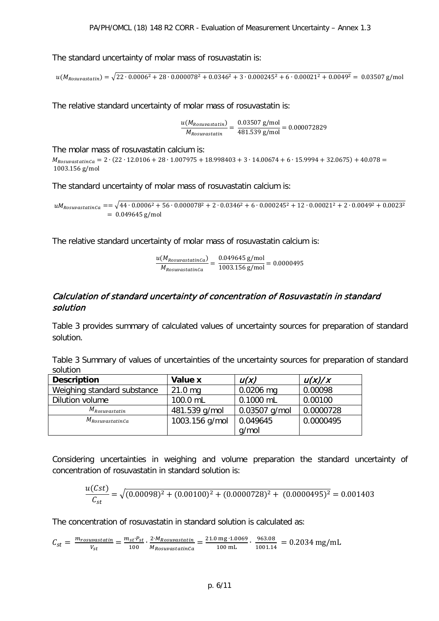The standard uncertainty of molar mass of rosuvastatin is:

 $u(M_{Rosupastatin}) = \sqrt{22 \cdot 0.0006^2 + 28 \cdot 0.000078^2 + 0.0346^2 + 3 \cdot 0.000245^2 + 6 \cdot 0.00021^2 + 0.0049^2} = 0.03507$  g/mol

The relative standard uncertainty of molar mass of rosuvastatin is:

u(M<sub>Rosuvastatin</sub>)  $\frac{(M_{Rosuvastatin})}{M_{Rosuvastatin}} = \frac{0.03507 \text{ g/mol}}{481.539 \text{ g/mol}} = 0.000072829$ 

The molar mass of rosuvastatin calcium is:

 $M_{RosuvastatinCa} = 2 \cdot (22 \cdot 12.0106 + 28 \cdot 1.007975 + 18.998403 + 3 \cdot 14.00674 + 6 \cdot 15.9994 + 32.0675) + 40.078 =$ 1003.156 g/mol

The standard uncertainty of molar mass of rosuvastatin calcium is:

 $uM_{Rosuvastatinca} = \sqrt{44 \cdot 0.0006^2 + 56 \cdot 0.000078^2 + 2 \cdot 0.0346^2 + 6 \cdot 0.000245^2 + 12 \cdot 0.00021^2 + 2 \cdot 0.0049^2 + 0.0023^2}$  $= 0.049645$  g/mol

The relative standard uncertainty of molar mass of rosuvastatin calcium is:

<u>u(M<sub>RosuvastatinCa)</u></u></sub>  $\frac{(M_{RosuvastatinCa})}{M_{RosuvastatinCa}} = \frac{0.049645 \text{ g/mol}}{1003.156 \text{ g/mol}} = 0.0000495$ 

## Calculation of standard uncertainty of concentration of Rosuvastatin in standard solution

Table 3 provides summary of calculated values of uncertainty sources for preparation of standard solution.

Table 3 Summary of values of uncertainties of the uncertainty sources for preparation of standard solution

| <b>Description</b>          | Value x        | u(x)            | u(x)/x    |
|-----------------------------|----------------|-----------------|-----------|
| Weighing standard substance | $21.0$ mg      | $0.0206$ mg     | 0.00098   |
| Dilution volume             | 100.0 mL       | $0.1000$ mL     | 0.00100   |
| $M_{Rosuvastatin}$          | 481.539 g/mol  | $0.03507$ g/mol | 0.0000728 |
| $M_{RosuvastatinCa}$        | 1003.156 g/mol | 0.049645        | 0.0000495 |
|                             |                | q/mol           |           |

Considering uncertainties in weighing and volume preparation the standard uncertainty of concentration of rosuvastatin in standard solution is:

$$
\frac{u(Cst)}{C_{st}} = \sqrt{(0.00098)^2 + (0.00100)^2 + (0.0000728)^2 + (0.0000495)^2} = 0.001403
$$

The concentration of rosuvastatin in standard solution is calculated as:

 $\mathcal{C}_{st} = \frac{m_{rosuvastatin}}{V_{st}} = \frac{m_{st} \cdot P_{st}}{100} \cdot \frac{2 \cdot M_{Rosuvastatin}}{M_{RosuvastatinCa}}$  $\frac{2^3 M_{Rosuvastatin}}{M_{RosuvastatinCa}} = \frac{21.0 \text{ mg} \cdot 1.0069}{100 \text{ mL}} \cdot \frac{963.08}{1001.14} = 0.2034 \text{ mg/mL}$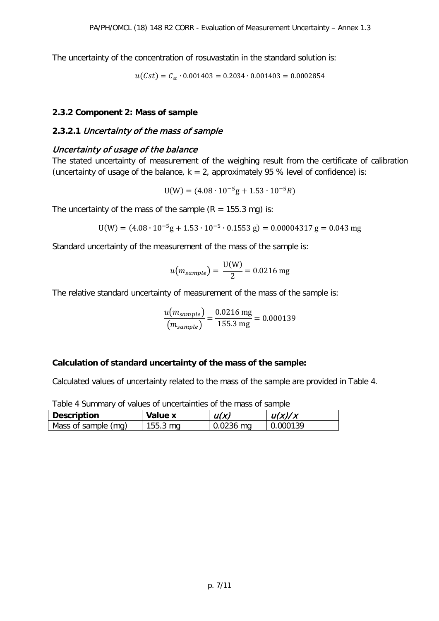The uncertainty of the concentration of rosuvastatin in the standard solution is:

 $u(Cst) = C_{st} \cdot 0.001403 = 0.2034 \cdot 0.001403 = 0.0002854$ 

#### **2.3.2 Component 2: Mass of sample**

## **2.3.2.1** Uncertainty of the mass of sample

## Uncertainty of usage of the balance

The stated uncertainty of measurement of the weighing result from the certificate of calibration (uncertainty of usage of the balance,  $k = 2$ , approximately 95 % level of confidence) is:

 $U(W) = (4.08 \cdot 10^{-5} g + 1.53 \cdot 10^{-5} R)$ 

The uncertainty of the mass of the sample  $(R = 155.3 \text{ mg})$  is:

$$
U(W) = (4.08 \cdot 10^{-5}g + 1.53 \cdot 10^{-5} \cdot 0.1553 g) = 0.00004317 g = 0.043 mg
$$

Standard uncertainty of the measurement of the mass of the sample is:

$$
u(m_{sample}) = \frac{U(W)}{2} = 0.0216 \text{ mg}
$$

The relative standard uncertainty of measurement of the mass of the sample is:

$$
\frac{u(m_{sample})}{(m_{sample})} = \frac{0.0216 \text{ mg}}{155.3 \text{ mg}} = 0.000139
$$

#### **Calculation of standard uncertainty of the mass of the sample:**

Calculated values of uncertainty related to the mass of the sample are provided in Table 4.

| rable + Summary Or values Or uncertainties Or the mass Or sample. |            |             |          |  |
|-------------------------------------------------------------------|------------|-------------|----------|--|
| Description                                                       | Value x    | u(x)        | u(x)/x   |  |
| Mass of sample (mg)                                               | $155.3$ mg | $0.0236$ mg | 0.000139 |  |

Table 4 Summary of values of uncertainties of the mass of sample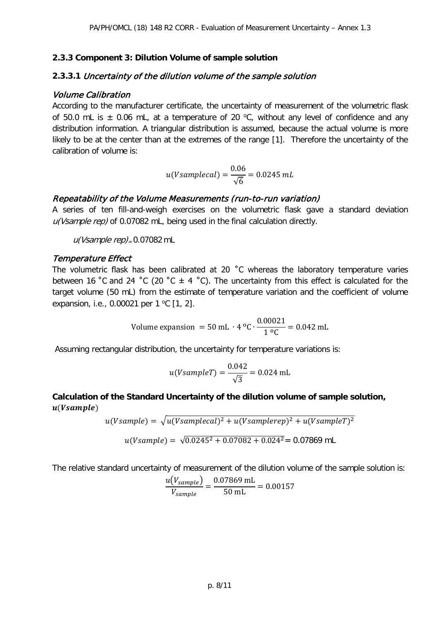## **2.3.3 Component 3: Dilution Volume of sample solution**

## **2.3.3.1** Uncertainty of the dilution volume of the sample solution

## Volume Calibration

According to the manufacturer certificate, the uncertainty of measurement of the volumetric flask of 50.0 mL is  $\pm$  0.06 mL, at a temperature of 20 °C, without any level of confidence and any distribution information. A triangular distribution is assumed, because the actual volume is more likely to be at the center than at the extremes of the range [1]. Therefore the uncertainty of the calibration of volume is:

$$
u(Vsamplecal) = \frac{0.06}{\sqrt{6}} = 0.0245 \, mL
$$

## Repeatability of the Volume Measurements (run-to-run variation)

A series of ten fill-and-weigh exercises on the volumetric flask gave a standard deviation u(Vsample rep) of 0.07082 mL, being used in the final calculation directly.

 $u(Vsample rep)_{=}0.07082$  mL

#### Temperature Effect

The volumetric flask has been calibrated at 20 ˚C whereas the laboratory temperature varies between 16 °C and 24 °C (20 °C  $\pm$  4 °C). The uncertainty from this effect is calculated for the target volume (50 mL) from the estimate of temperature variation and the coefficient of volume expansion, i.e., 0.00021 per 1 °C [1, 2].

Volume expansion = 50 mL · 4 °C · 
$$
\frac{0.00021}{1 °C} = 0.042
$$
 mL

Assuming rectangular distribution, the uncertainty for temperature variations is:

$$
u(VsampleT) = \frac{0.042}{\sqrt{3}} = 0.024 \text{ mL}
$$

**Calculation of the Standard Uncertainty of the dilution volume of sample solution,**   $u(Vsample)$ 

$$
u(Vsample) = \sqrt{u(Vsamplecal)^{2} + u(Vsamplerep)^{2} + u(VsampleT)^{2}}
$$

$$
u(Vsample) = \sqrt{0.0245^{2} + 0.07082 + 0.024^{2}} = 0.07869 \text{ mL}
$$

The relative standard uncertainty of measurement of the dilution volume of the sample solution is:

$$
\frac{u(V_{sample})}{V_{sample}} = \frac{0.07869 \text{ mL}}{50 \text{ mL}} = 0.00157
$$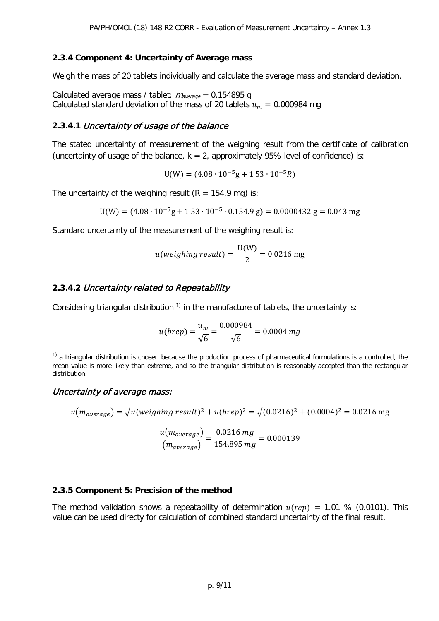#### **2.3.4 Component 4: Uncertainty of Average mass**

Weigh the mass of 20 tablets individually and calculate the average mass and standard deviation.

Calculated average mass / tablet:  $m_{average} = 0.154895$  g Calculated standard deviation of the mass of 20 tablets  $u_m = 0.000984$  mg

## **2.3.4.1** Uncertainty of usage of the balance

The stated uncertainty of measurement of the weighing result from the certificate of calibration (uncertainty of usage of the balance,  $k = 2$ , approximately 95% level of confidence) is:

 $U(W) = (4.08 \cdot 10^{-5}g + 1.53 \cdot 10^{-5}R)$ 

The uncertainty of the weighing result  $(R = 154.9 \text{ mg})$  is:

$$
U(W) = (4.08 \cdot 10^{-5}g + 1.53 \cdot 10^{-5} \cdot 0.154.9 g) = 0.0000432 g = 0.043 mg
$$

Standard uncertainty of the measurement of the weighing result is:

$$
u(weighting result) = \frac{U(W)}{2} = 0.0216 mg
$$

#### **2.3.4.2** Uncertainty related to Repeatability

Considering triangular distribution<sup>1)</sup> in the manufacture of tablets, the uncertainty is:

$$
u(brep) = \frac{u_m}{\sqrt{6}} = \frac{0.000984}{\sqrt{6}} = 0.0004 mg
$$

 $1)$  a triangular distribution is chosen because the production process of pharmaceutical formulations is a controlled, the mean value is more likely than extreme, and so the triangular distribution is reasonably accepted than the rectangular distribution.

## Uncertainty of average mass:

$$
u(m_{average}) = \sqrt{u(weighting result)^2 + u(brep)^2} = \sqrt{(0.0216)^2 + (0.0004)^2} = 0.0216 mg
$$

$$
\frac{u(m_{average})}{(m_{average})} = \frac{0.0216 mg}{154.895 mg} = 0.000139
$$

#### **2.3.5 Component 5: Precision of the method**

The method validation shows a repeatability of determination  $u ( rep) = 1.01$  % (0.0101). This value can be used directy for calculation of combined standard uncertainty of the final result.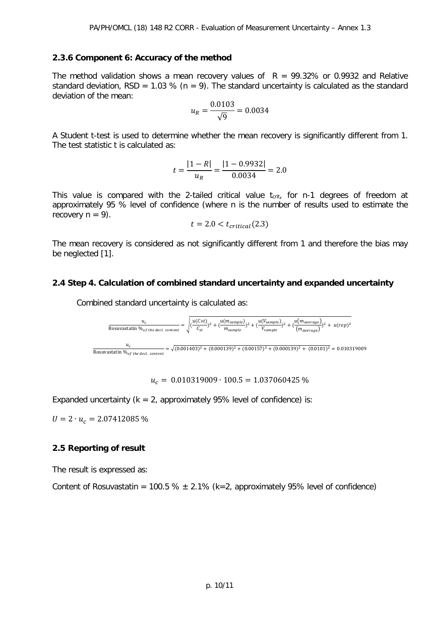#### **2.3.6 Component 6: Accuracy of the method**

The method validation shows a mean recovery values of  $R = 99.32\%$  or 0.9932 and Relative standard deviation, RSD = 1.03 % ( $n = 9$ ). The standard uncertainty is calculated as the standard deviation of the mean:

$$
u_R = \frac{0.0103}{\sqrt{9}} = 0.0034
$$

A Student t-test is used to determine whether the mean recovery is significantly different from 1. The test statistic t is calculated as:

$$
t = \frac{|1 - R|}{u_R} = \frac{|1 - 0.9932|}{0.0034} = 2.0
$$

This value is compared with the 2-tailed critical value  $t_{crit}$ , for n-1 degrees of freedom at approximately 95 % level of confidence (where n is the number of results used to estimate the recovery  $n = 9$ ).

$$
t = 2.0 < t_{critical}(2.3)
$$

The mean recovery is considered as not significantly different from 1 and therefore the bias may be neglected [1].

#### **2.4 Step 4. Calculation of combined standard uncertainty and expanded uncertainty**

Combined standard uncertainty is calculated as:



 $u_c = 0.010319009 \cdot 100.5 = 1.037060425 \%$ 

Expanded uncertainty ( $k = 2$ , approximately 95% level of confidence) is:

 $U = 2 \cdot u_c = 2.07412085 \%$ 

#### **2.5 Reporting of result**

The result is expressed as:

Content of Rosuvastatin = 100.5 %  $\pm$  2.1% (k=2, approximately 95% level of confidence)